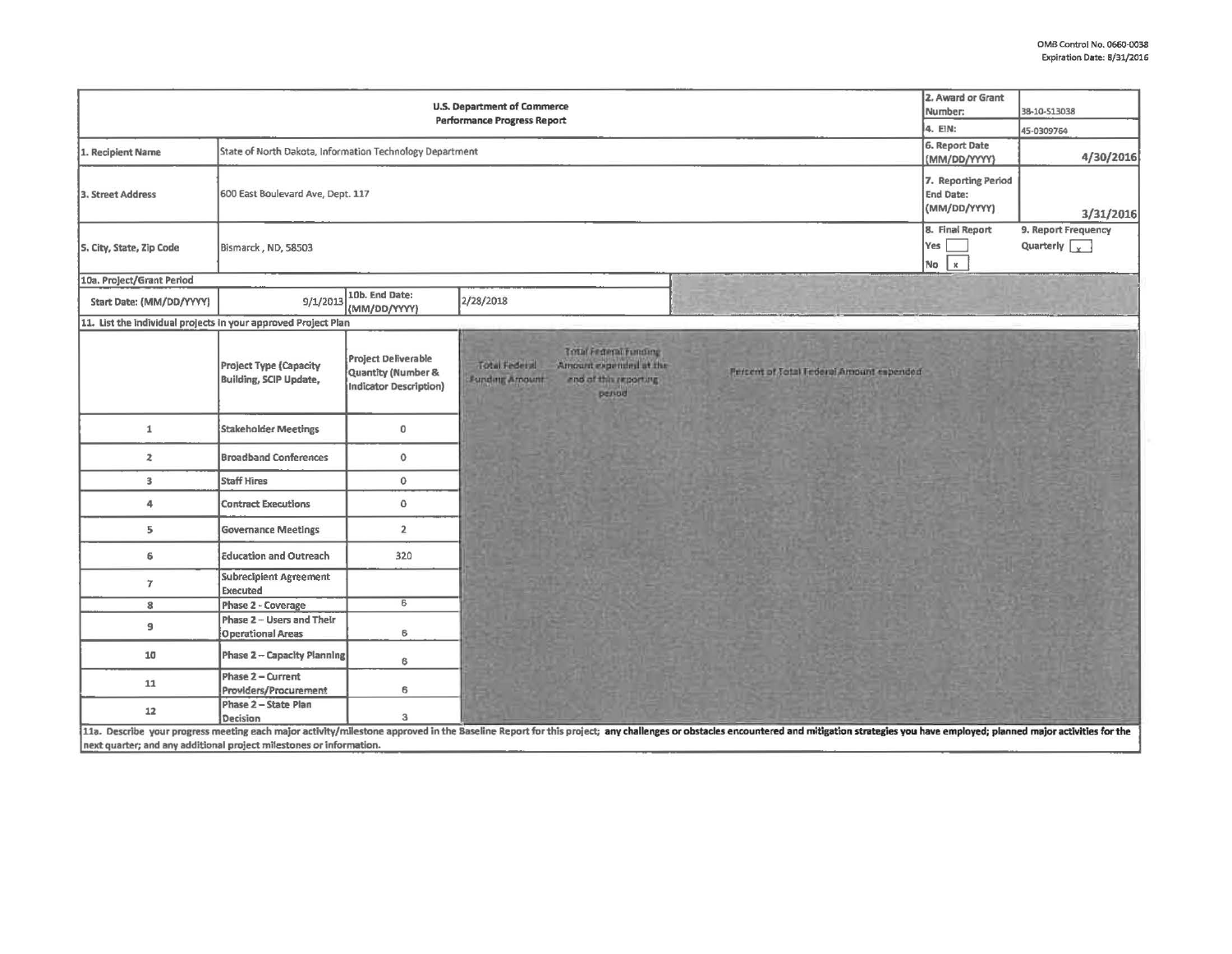|                                                                     | 2. Award or Grant<br><b>U.S. Department of Commerce</b><br>Number:<br><b>Performance Progress Report</b> | 38-10-513038                                                                   |                                                                                                                                                                                                                                |                                             |
|---------------------------------------------------------------------|----------------------------------------------------------------------------------------------------------|--------------------------------------------------------------------------------|--------------------------------------------------------------------------------------------------------------------------------------------------------------------------------------------------------------------------------|---------------------------------------------|
|                                                                     | 4. EIN:                                                                                                  | 45-0309764                                                                     |                                                                                                                                                                                                                                |                                             |
| 1. Recipient Name                                                   | State of North Dakota, Information Technology Department                                                 | 6. Report Date<br>(MM/DD/YYYY)                                                 | 4/30/2016                                                                                                                                                                                                                      |                                             |
| 3. Street Address                                                   | 600 East Boulevard Ave, Dept. 117                                                                        | 7. Reporting Period<br>End Date:<br>(MM/DD/YYYY)                               | 3/31/2016                                                                                                                                                                                                                      |                                             |
| S. City, State, Zip Code                                            | Bismarck, ND, 58503                                                                                      |                                                                                | 8. Final Report<br>Yes  <br>No x                                                                                                                                                                                               | 9. Report Frequency<br>Quarterly $\sqrt{x}$ |
| 10a. Project/Grant Period                                           |                                                                                                          |                                                                                |                                                                                                                                                                                                                                |                                             |
| Start Date: (MM/DD/YYYY)                                            | 9/1/2013                                                                                                 | 10b. End Date:<br>(MM/DD/YYYY)                                                 | 2/28/2018                                                                                                                                                                                                                      |                                             |
| 11. List the individual projects in your approved Project Plan      |                                                                                                          |                                                                                |                                                                                                                                                                                                                                |                                             |
|                                                                     | <b>Project Type (Capacity</b><br><b>Building, SCIP Update,</b>                                           | Project Deliverable<br><b>Quantity (Number &amp;</b><br>Indicator Description) | Total Frieral Funding<br>Total Federal<br>Amount expended at the<br>Prisent of Total Federal Amount expended<br>Funding Arnount<br>and of this reporting<br>period                                                             |                                             |
| 1                                                                   | <b>Stakeholder Meetings</b>                                                                              | $\mathbf 0$                                                                    |                                                                                                                                                                                                                                |                                             |
| $\overline{z}$                                                      | <b>Broadband Conferences</b>                                                                             | $\mathbf 0$                                                                    |                                                                                                                                                                                                                                |                                             |
| 3                                                                   | <b>Staff Hires</b>                                                                                       | $\mathbf{0}$                                                                   |                                                                                                                                                                                                                                |                                             |
| 4                                                                   | <b>Contract Executions</b>                                                                               | $\mathbf 0$                                                                    |                                                                                                                                                                                                                                |                                             |
| $5\phantom{.0}$                                                     | <b>Governance Meetings</b>                                                                               | $\overline{2}$                                                                 |                                                                                                                                                                                                                                |                                             |
| 6                                                                   | <b>Education and Outreach</b>                                                                            | 320                                                                            |                                                                                                                                                                                                                                |                                             |
| $\overline{7}$                                                      | <b>Subrecipient Agreement</b><br><b>Executed</b>                                                         |                                                                                |                                                                                                                                                                                                                                |                                             |
| 8                                                                   | Phase 2 - Coverage                                                                                       | 6                                                                              |                                                                                                                                                                                                                                |                                             |
| 9                                                                   | Phase 2 - Users and Their<br><b>Operational Areas</b>                                                    | 6                                                                              |                                                                                                                                                                                                                                |                                             |
| 10                                                                  | Phase 2 - Capacity Planning                                                                              | 6                                                                              |                                                                                                                                                                                                                                |                                             |
| 11                                                                  | Phase 2 - Current<br><b>Providers/Procurement</b>                                                        | 6                                                                              |                                                                                                                                                                                                                                |                                             |
| 12                                                                  | Phase 2 - State Plan<br>Decision                                                                         | $\mathbf{3}$                                                                   |                                                                                                                                                                                                                                |                                             |
| next quarter; and any additional project milestones or information. |                                                                                                          |                                                                                | 11a. Describe your progress meeting each major activity/milestone approved in the Baseline Report for this project; any challenges or obstacles encountered and mitigation strategies you have employed; planned major activit |                                             |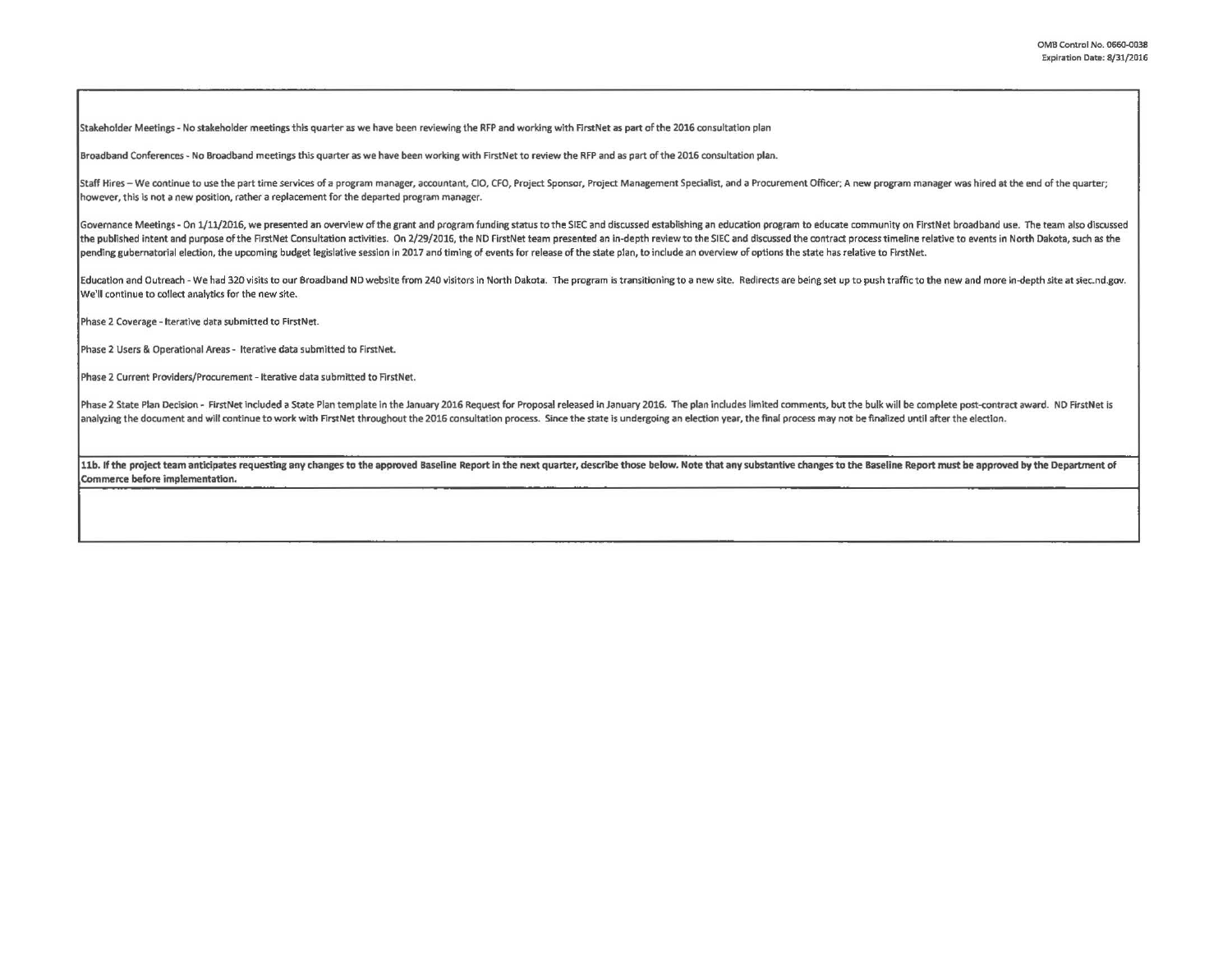Stakeholder Meetings - No stakeholder meetings this quarter as we have been reviewing the RFP and working with First Net as part of the 2016 consultation plan

Broadband Conferences - No Broadband meetings this quarter as we have been working with FirstNet to review the RFP and as part of the 2016 consultation plan.

Staff Hires - We continue to use the part time services of a program manager, accountant, CIO, CFO, Project Sponsor, Project Management Specialist, and a Procurement Officer; A new program manager was hired at the end of t however, this is not a new position, rather a replacement for the departed program manager.

Governance Meetings - On 1/11/2016, we presented an overview of the grant and program funding status to the SIEC and discussed establishing an education program to educate community on FirstNet broadband use. The team also the published intent and purpose of the FirstNet Consultation activities. On 2/29/2016, the ND FirstNet team presented an in-depth review to the SIEC and discussed the contract process timeline relative to events in North pending gubernatorial election, the upcoming budget legislative session in 2017 and timing of events for release of the state plan, to include an overview of options the state has relative to FirstNet.

Education and Outreach - We had 320 visits to our Broadband ND website from 240 visitors in North Dakota. The program is transitioning to a new site. Redirects are being set up to push traffic to the new and more in-depth We'll continue to collect analytlcs for the new site.

Phase 2 Coverage - Iterative data submitted to FirstNet.

Phase 2 Users & Operational Areas- Iterative data submitted *to* First Net.

Phase 2 Current Providers/Procurement - Iterative data submitted to FirstNet.

Phase 2 State Plan Decision - FirstNet included a State Plan template in the January 2016 Request for Proposal released in January 2016. The plan includes limited comments, but the bulk will be complete post-contract award analyzing the document and will continue to work with FirstNet throughout the 2016 consultation process. Since the state is undergoing an election year, the final process may not be finalized until after the election.

11b. If the project team anticipates requesting any changes to the approved Baseline Report in the next quarter, describe those below. Note that any substantive changes to the Baseline Report must be approved by the Depart Commerce before implementation.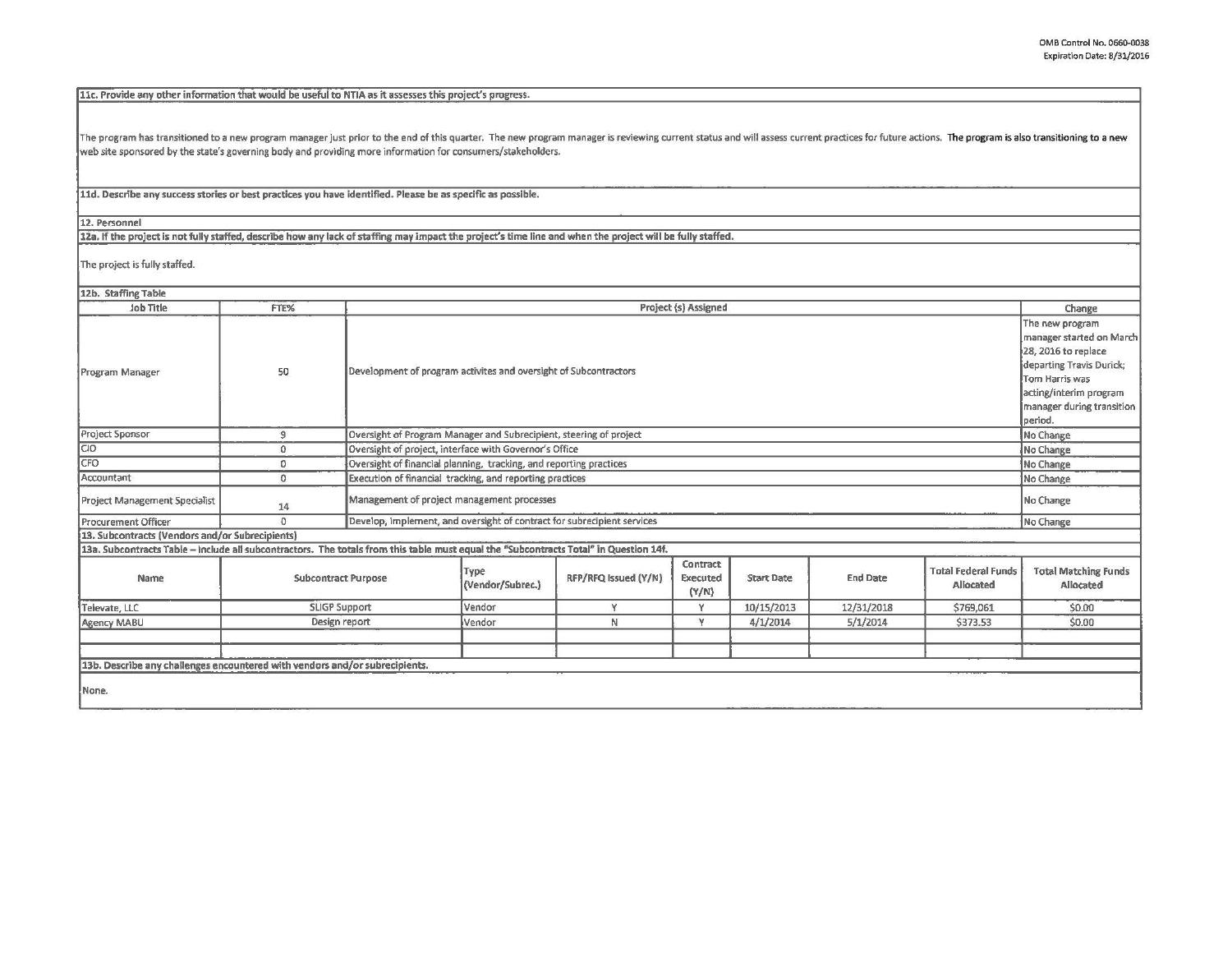11c. Provide any other information that would be useful to NTIA as it assesses this project's progress.

The program has transitioned to a new program manager just prior to the end of this quarter. The new program manager is reviewing current status and will assess current practices for future actions. The program is also tra web site sponsored by the state's governing body and providing more information for consumers/stakeholders.

lld. Describe any success stories or best practices you have identified. Please be as specific as possible.

12. Personnel

12a. If the project is not fully staffed, describe how any lack of staffing may impact the project's time line and when the project will be fully staffed.

The project is fully staffed.

| 12b. Staffing Table                                                                                                                   |               |                                                                  |                                                                                      |                      |                                      |                   |                 |                                         |                                                                                                                                                                                    |  |
|---------------------------------------------------------------------------------------------------------------------------------------|---------------|------------------------------------------------------------------|--------------------------------------------------------------------------------------|----------------------|--------------------------------------|-------------------|-----------------|-----------------------------------------|------------------------------------------------------------------------------------------------------------------------------------------------------------------------------------|--|
| Job Title                                                                                                                             | FTE%          | Project (s) Assigned                                             |                                                                                      |                      |                                      |                   |                 |                                         | Change                                                                                                                                                                             |  |
| Program Manager                                                                                                                       | 50            | Development of program activites and oversight of Subcontractors |                                                                                      |                      |                                      |                   |                 |                                         | The new program<br>manager started on March<br>28, 2016 to replace<br>departing Travis Durick;<br>Tom Harris was<br>acting/interim program<br>manager during transition<br>period. |  |
| Project Sponsor                                                                                                                       | 9             |                                                                  | Oversight of Program Manager and Subrecipient, steering of project<br>No Change      |                      |                                      |                   |                 |                                         |                                                                                                                                                                                    |  |
| CIO <sup>1</sup>                                                                                                                      | $^{\circ}$    |                                                                  | Oversight of project, interface with Governor's Office<br>No Change                  |                      |                                      |                   |                 |                                         |                                                                                                                                                                                    |  |
| CFO                                                                                                                                   | O.            |                                                                  | Oversight of financial planning, tracking, and reporting practices                   |                      |                                      |                   |                 |                                         | No Change                                                                                                                                                                          |  |
| Accountant                                                                                                                            | $\circ$       | Execution of financial tracking, and reporting practices         |                                                                                      |                      |                                      |                   |                 | No Change                               |                                                                                                                                                                                    |  |
| Project Management Specialist                                                                                                         | 14            | Management of project management processes                       |                                                                                      |                      |                                      |                   |                 |                                         | No Change                                                                                                                                                                          |  |
| <b>Procurement Officer</b>                                                                                                            | $\Omega$      |                                                                  | Develop, implement, and oversight of contract for subrecipient services<br>No Change |                      |                                      |                   |                 |                                         |                                                                                                                                                                                    |  |
| 13. Subcontracts (Vendors and/or Subrecipients)                                                                                       |               |                                                                  |                                                                                      |                      |                                      |                   |                 |                                         |                                                                                                                                                                                    |  |
| 13a. Subcontracts Table - include all subcontractors. The totals from this table must equal the "Subcontracts Total" in Question 14f. |               |                                                                  |                                                                                      |                      |                                      |                   |                 |                                         |                                                                                                                                                                                    |  |
| Name                                                                                                                                  |               | <b>Subcontract Purpose</b>                                       |                                                                                      | RFP/RFQ Issued (Y/N) | Contract<br><b>Executed</b><br>(Y/N) | <b>Start Date</b> | <b>End Date</b> | <b>Total Federal Funds</b><br>Allocated | <b>Total Matching Funds</b><br>Allocated                                                                                                                                           |  |
| Televate, LLC                                                                                                                         |               | <b>SLIGP Support</b>                                             | Vendor                                                                               | V.                   | v                                    | 10/15/2013        | 12/31/2018      | \$769,061                               | \$0.00                                                                                                                                                                             |  |
| Agency MABU                                                                                                                           | Design report |                                                                  | Vendor                                                                               | N                    |                                      | 4/1/2014          | 5/1/2014        | \$373.53                                | \$0.00                                                                                                                                                                             |  |
|                                                                                                                                       |               |                                                                  |                                                                                      |                      |                                      |                   |                 |                                         |                                                                                                                                                                                    |  |
|                                                                                                                                       |               |                                                                  |                                                                                      |                      |                                      |                   |                 |                                         |                                                                                                                                                                                    |  |
| 13b. Describe any challenges encountered with vendors and/or subrecipients.                                                           |               |                                                                  |                                                                                      |                      |                                      |                   |                 |                                         |                                                                                                                                                                                    |  |
| None.                                                                                                                                 |               |                                                                  |                                                                                      |                      |                                      |                   |                 |                                         |                                                                                                                                                                                    |  |